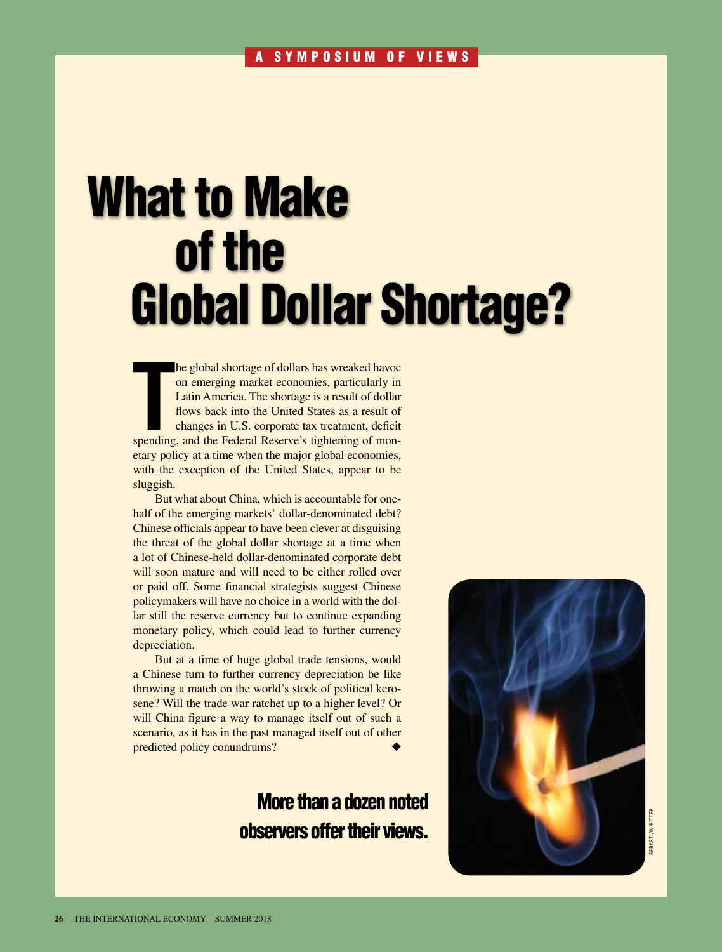# What to Make of the Global Dollar Shortage?

**THE SPENDING INTERENT SPENDING THE SPENDING OF THE SPENDING IN THE THAN THE FEDERAL RESERVED THE SPENDING SPENDING THE SPENDING Changes in U.S. corporate tax treatment, deficit spending, and the Federal Reserve's tighteni** he global shortage of dollars has wreaked havoc on emerging market economies, particularly in Latin America. The shortage is a result of dollar flows back into the United States as a result of changes in U.S. corporate tax treatment, deficit etary policy at a time when the major global economies, with the exception of the United States, appear to be sluggish.

But what about China, which is accountable for onehalf of the emerging markets' dollar-denominated debt? Chinese officials appear to have been clever at disguising the threat of the global dollar shortage at a time when a lot of Chinese-held dollar-denominated corporate debt will soon mature and will need to be either rolled over or paid off. Some financial strategists suggest Chinese policymakers will have no choice in a world with the dollar still the reserve currency but to continue expanding monetary policy, which could lead to further currency depreciation.

But at a time of huge global trade tensions, would a Chinese turn to further currency depreciation be like throwing a match on the world's stock of political kerosene? Will the trade war ratchet up to a higher level? Or will China figure a way to manage itself out of such a scenario, as it has in the past managed itself out of other predicted policy conundrums?

# More than a dozen noted observers offer their views.

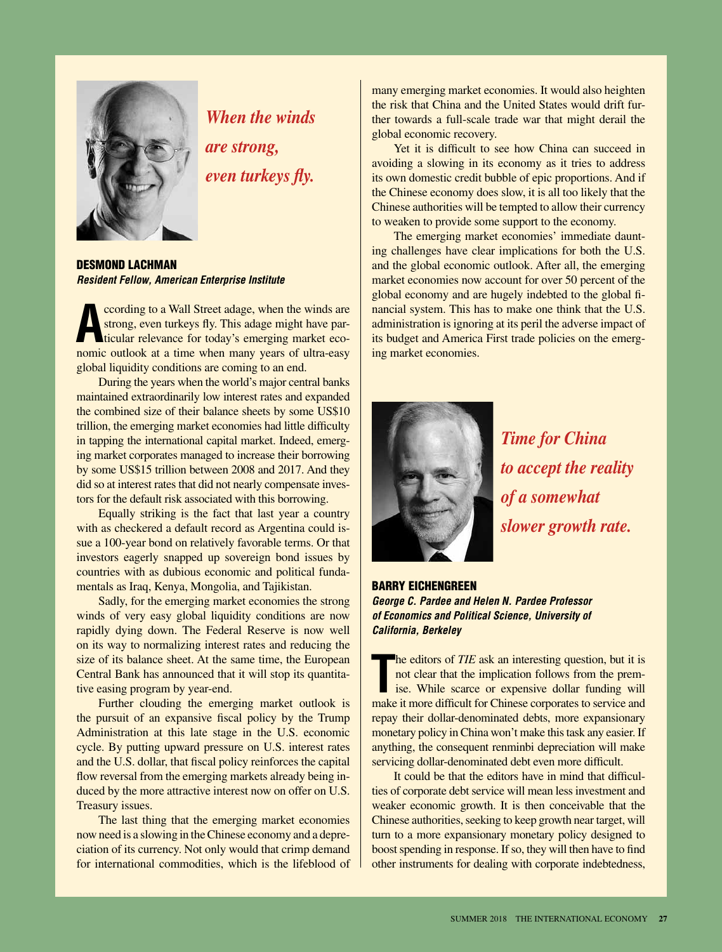

*When the winds are strong, even turkeys fly.*

DESMOND LACHMAN *Resident Fellow, American Enterprise Institute*

**A** coording to a Wall Street adage, when the winds are strong, even turkeys fly. This adage might have particular relevance for today's emerging market economic outlook at a time when many years of ultra-easy ccording to a Wall Street adage, when the winds are strong, even turkeys fly. This adage might have particular relevance for today's emerging market ecoglobal liquidity conditions are coming to an end.

During the years when the world's major central banks maintained extraordinarily low interest rates and expanded the combined size of their balance sheets by some US\$10 trillion, the emerging market economies had little difficulty in tapping the international capital market. Indeed, emerging market corporates managed to increase their borrowing by some US\$15 trillion between 2008 and 2017. And they did so at interest rates that did not nearly compensate investors for the default risk associated with this borrowing.

Equally striking is the fact that last year a country with as checkered a default record as Argentina could issue a 100-year bond on relatively favorable terms. Or that investors eagerly snapped up sovereign bond issues by countries with as dubious economic and political fundamentals as Iraq, Kenya, Mongolia, and Tajikistan.

Sadly, for the emerging market economies the strong winds of very easy global liquidity conditions are now rapidly dying down. The Federal Reserve is now well on its way to normalizing interest rates and reducing the size of its balance sheet. At the same time, the European Central Bank has announced that it will stop its quantitative easing program by year-end.

Further clouding the emerging market outlook is the pursuit of an expansive fiscal policy by the Trump Administration at this late stage in the U.S. economic cycle. By putting upward pressure on U.S. interest rates and the U.S. dollar, that fiscal policy reinforces the capital flow reversal from the emerging markets already being induced by the more attractive interest now on offer on U.S. Treasury issues.

The last thing that the emerging market economies now need is a slowing in the Chinese economy and a depreciation of its currency. Not only would that crimp demand for international commodities, which is the lifeblood of many emerging market economies. It would also heighten the risk that China and the United States would drift further towards a full-scale trade war that might derail the global economic recovery.

Yet it is difficult to see how China can succeed in avoiding a slowing in its economy as it tries to address its own domestic credit bubble of epic proportions. And if the Chinese economy does slow, it is all too likely that the Chinese authorities will be tempted to allow their currency to weaken to provide some support to the economy.

The emerging market economies' immediate daunting challenges have clear implications for both the U.S. and the global economic outlook. After all, the emerging market economies now account for over 50 percent of the global economy and are hugely indebted to the global financial system. This has to make one think that the U.S. administration is ignoring at its peril the adverse impact of its budget and America First trade policies on the emerging market economies.



*Time for China to accept the reality of a somewhat slower growth rate.*

## Barry Eichengreen *George C. Pardee and Helen N. Pardee Professor of Economics and Political Science, University of California, Berkeley*

The editors of *TIE* ask an interesting question, but it is not clear that the implication follows from the premise. While scarce or expensive dollar funding will make it more difficult for Chinese corporates to service an he editors of *TIE* ask an interesting question, but it is not clear that the implication follows from the premise. While scarce or expensive dollar funding will repay their dollar-denominated debts, more expansionary monetary policy in China won't make this task any easier. If anything, the consequent renminbi depreciation will make servicing dollar-denominated debt even more difficult.

It could be that the editors have in mind that difficulties of corporate debt service will mean less investment and weaker economic growth. It is then conceivable that the Chinese authorities, seeking to keep growth near target, will turn to a more expansionary monetary policy designed to boost spending in response. If so, they will then have to find other instruments for dealing with corporate indebtedness,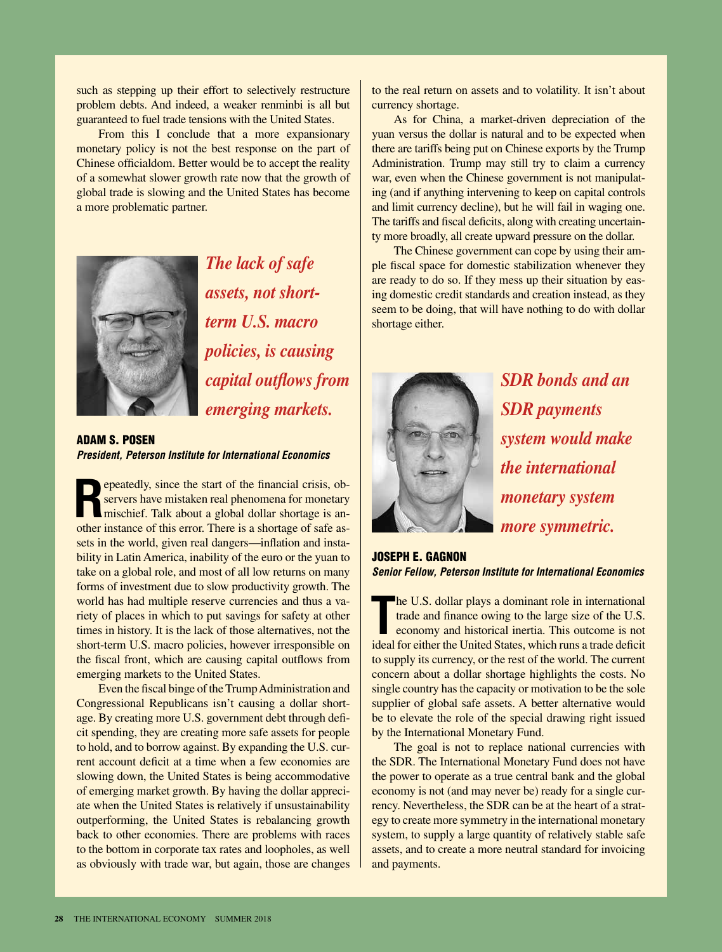such as stepping up their effort to selectively restructure problem debts. And indeed, a weaker renminbi is all but guaranteed to fuel trade tensions with the United States.

From this I conclude that a more expansionary monetary policy is not the best response on the part of Chinese officialdom. Better would be to accept the reality of a somewhat slower growth rate now that the growth of global trade is slowing and the United States has become a more problematic partner.



*The lack of safe assets, not shortterm U.S. macro policies, is causing capital outflows from emerging markets.*

#### Adam S. Posen *President, Peterson Institute for International Economics*

**Repeatedly, since the start of the financial crisis, ob-**<br>servers have mistaken real phenomena for monetary<br>mischief. Talk about a global dollar shortage is an-<br>then instead of sets and the starting of sets servers have mistaken real phenomena for monetary mischief. Talk about a global dollar shortage is another instance of this error. There is a shortage of safe assets in the world, given real dangers—inflation and instability in Latin America, inability of the euro or the yuan to take on a global role, and most of all low returns on many forms of investment due to slow productivity growth. The world has had multiple reserve currencies and thus a variety of places in which to put savings for safety at other times in history. It is the lack of those alternatives, not the short-term U.S. macro policies, however irresponsible on the fiscal front, which are causing capital outflows from emerging markets to the United States.

Even the fiscal binge of the Trump Administration and Congressional Republicans isn't causing a dollar shortage. By creating more U.S. government debt through deficit spending, they are creating more safe assets for people to hold, and to borrow against. By expanding the U.S. current account deficit at a time when a few economies are slowing down, the United States is being accommodative of emerging market growth. By having the dollar appreciate when the United States is relatively if unsustainability outperforming, the United States is rebalancing growth back to other economies. There are problems with races to the bottom in corporate tax rates and loopholes, as well as obviously with trade war, but again, those are changes

to the real return on assets and to volatility. It isn't about currency shortage.

As for China, a market-driven depreciation of the yuan versus the dollar is natural and to be expected when there are tariffs being put on Chinese exports by the Trump Administration. Trump may still try to claim a currency war, even when the Chinese government is not manipulating (and if anything intervening to keep on capital controls and limit currency decline), but he will fail in waging one. The tariffs and fiscal deficits, along with creating uncertainty more broadly, all create upward pressure on the dollar.

The Chinese government can cope by using their ample fiscal space for domestic stabilization whenever they are ready to do so. If they mess up their situation by easing domestic credit standards and creation instead, as they seem to be doing, that will have nothing to do with dollar shortage either.



*SDR bonds and an SDR payments system would make the international monetary system more symmetric.*

### Joseph E. Gagnon *Senior Fellow, Peterson Institute for International Economics*

**The U.S. dollar plays a dominant role in international trade and finance owing to the large size of the U.S. economy and historical inertia. This outcome is not ideal for either the United States, which runs a trade defic** he U.S. dollar plays a dominant role in international trade and finance owing to the large size of the U.S. economy and historical inertia. This outcome is not to supply its currency, or the rest of the world. The current concern about a dollar shortage highlights the costs. No single country has the capacity or motivation to be the sole supplier of global safe assets. A better alternative would be to elevate the role of the special drawing right issued by the International Monetary Fund.

The goal is not to replace national currencies with the SDR. The International Monetary Fund does not have the power to operate as a true central bank and the global economy is not (and may never be) ready for a single currency. Nevertheless, the SDR can be at the heart of a strategy to create more symmetry in the international monetary system, to supply a large quantity of relatively stable safe assets, and to create a more neutral standard for invoicing and payments.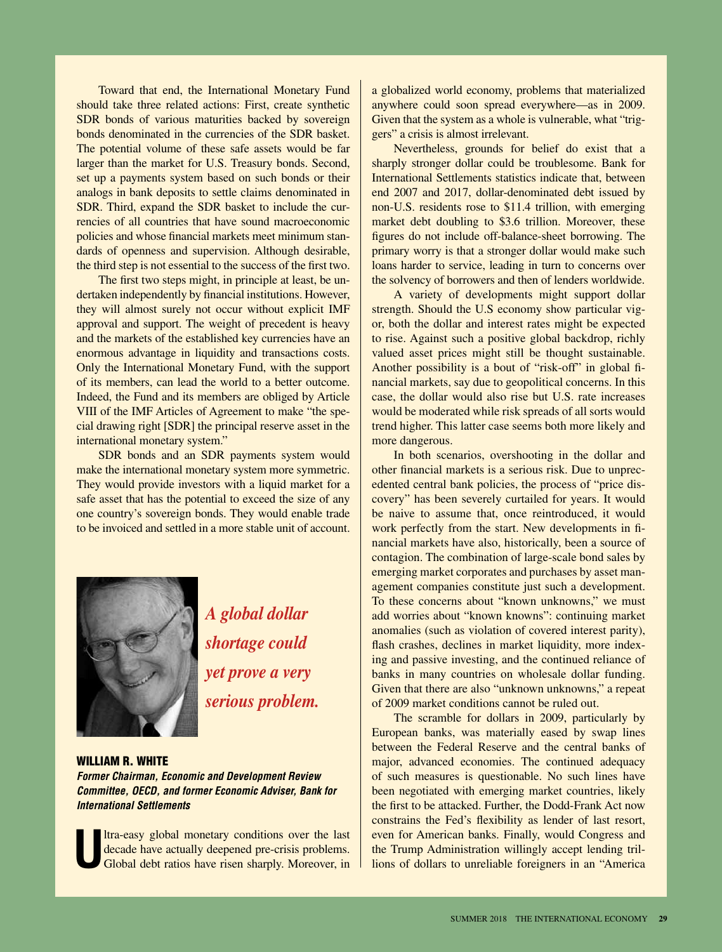Toward that end, the International Monetary Fund should take three related actions: First, create synthetic SDR bonds of various maturities backed by sovereign bonds denominated in the currencies of the SDR basket. The potential volume of these safe assets would be far larger than the market for U.S. Treasury bonds. Second, set up a payments system based on such bonds or their analogs in bank deposits to settle claims denominated in SDR. Third, expand the SDR basket to include the currencies of all countries that have sound macroeconomic policies and whose financial markets meet minimum standards of openness and supervision. Although desirable, the third step is not essential to the success of the first two.

The first two steps might, in principle at least, be undertaken independently by financial institutions. However, they will almost surely not occur without explicit IMF approval and support. The weight of precedent is heavy and the markets of the established key currencies have an enormous advantage in liquidity and transactions costs. Only the International Monetary Fund, with the support of its members, can lead the world to a better outcome. Indeed, the Fund and its members are obliged by Article VIII of the IMF Articles of Agreement to make "the special drawing right [SDR] the principal reserve asset in the international monetary system."

SDR bonds and an SDR payments system would make the international monetary system more symmetric. They would provide investors with a liquid market for a safe asset that has the potential to exceed the size of any one country's sovereign bonds. They would enable trade to be invoiced and settled in a more stable unit of account.



*A global dollar shortage could yet prove a very serious problem.*

WILLIAM R. WHITE

*Former Chairman, Economic and Development Review Committee, OECD, and former Economic Adviser, Bank for International Settlements* 

**U**ltra-easy global monetary conditions over the last decade have actually deepened pre-crisis problems. Global debt ratios have risen sharply. Moreover, in a globalized world economy, problems that materialized anywhere could soon spread everywhere—as in 2009. Given that the system as a whole is vulnerable, what "triggers" a crisis is almost irrelevant.

Nevertheless, grounds for belief do exist that a sharply stronger dollar could be troublesome. Bank for International Settlements statistics indicate that, between end 2007 and 2017, dollar-denominated debt issued by non-U.S. residents rose to \$11.4 trillion, with emerging market debt doubling to \$3.6 trillion. Moreover, these figures do not include off-balance-sheet borrowing. The primary worry is that a stronger dollar would make such loans harder to service, leading in turn to concerns over the solvency of borrowers and then of lenders worldwide.

A variety of developments might support dollar strength. Should the U.S economy show particular vigor, both the dollar and interest rates might be expected to rise. Against such a positive global backdrop, richly valued asset prices might still be thought sustainable. Another possibility is a bout of "risk-off" in global financial markets, say due to geopolitical concerns. In this case, the dollar would also rise but U.S. rate increases would be moderated while risk spreads of all sorts would trend higher. This latter case seems both more likely and more dangerous.

In both scenarios, overshooting in the dollar and other financial markets is a serious risk. Due to unprecedented central bank policies, the process of "price discovery" has been severely curtailed for years. It would be naive to assume that, once reintroduced, it would work perfectly from the start. New developments in financial markets have also, historically, been a source of contagion. The combination of large-scale bond sales by emerging market corporates and purchases by asset management companies constitute just such a development. To these concerns about "known unknowns," we must add worries about "known knowns": continuing market anomalies (such as violation of covered interest parity), flash crashes, declines in market liquidity, more indexing and passive investing, and the continued reliance of banks in many countries on wholesale dollar funding. Given that there are also "unknown unknowns," a repeat of 2009 market conditions cannot be ruled out.

The scramble for dollars in 2009, particularly by European banks, was materially eased by swap lines between the Federal Reserve and the central banks of major, advanced economies. The continued adequacy of such measures is questionable. No such lines have been negotiated with emerging market countries, likely the first to be attacked. Further, the Dodd-Frank Act now constrains the Fed's flexibility as lender of last resort, even for American banks. Finally, would Congress and the Trump Administration willingly accept lending trillions of dollars to unreliable foreigners in an "America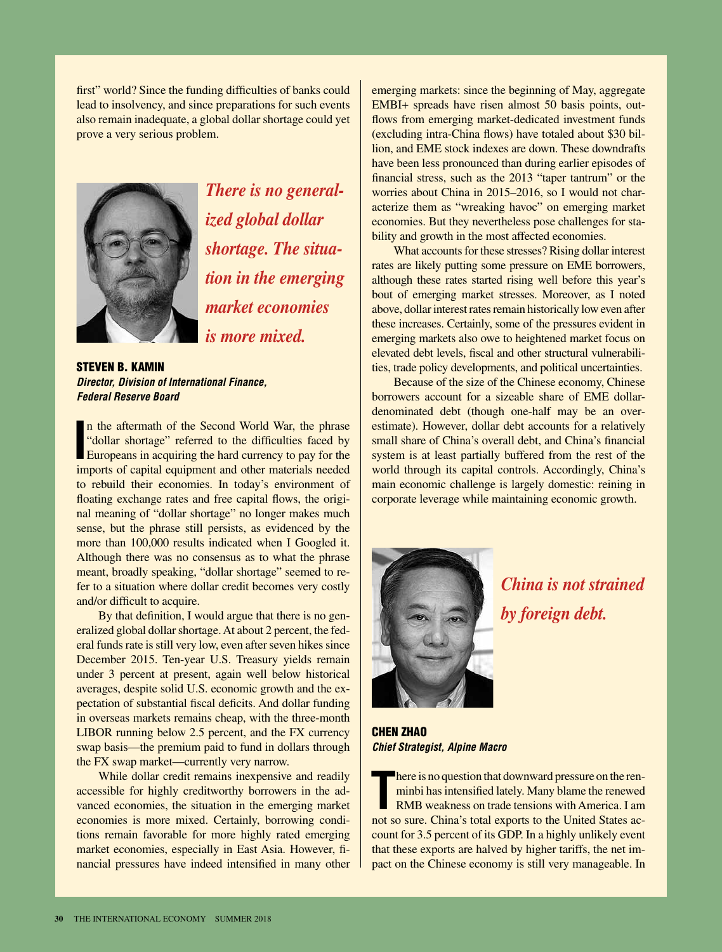first" world? Since the funding difficulties of banks could lead to insolvency, and since preparations for such events also remain inadequate, a global dollar shortage could yet prove a very serious problem.



*There is no generalized global dollar shortage. The situation in the emerging market economies is more mixed.*

**STEVEN B. KAMIN** *Director, Division of International Finance, Federal Reserve Board*

In the aftermath of the Second World War, the phrase "dollar shortage" referred to the difficulties faced by Europeans in acquiring the hard currency to pay for the europeans in acquiring the hard currency to pay for the n the aftermath of the Second World War, the phrase "dollar shortage" referred to the difficulties faced by imports of capital equipment and other materials needed to rebuild their economies. In today's environment of floating exchange rates and free capital flows, the original meaning of "dollar shortage" no longer makes much sense, but the phrase still persists, as evidenced by the more than 100,000 results indicated when I Googled it. Although there was no consensus as to what the phrase meant, broadly speaking, "dollar shortage" seemed to refer to a situation where dollar credit becomes very costly and/or difficult to acquire.

By that definition, I would argue that there is no generalized global dollar shortage. At about 2 percent, the federal funds rate is still very low, even after seven hikes since December 2015. Ten-year U.S. Treasury yields remain under 3 percent at present, again well below historical averages, despite solid U.S. economic growth and the expectation of substantial fiscal deficits. And dollar funding in overseas markets remains cheap, with the three-month LIBOR running below 2.5 percent, and the FX currency swap basis—the premium paid to fund in dollars through the FX swap market—currently very narrow.

While dollar credit remains inexpensive and readily accessible for highly creditworthy borrowers in the advanced economies, the situation in the emerging market economies is more mixed. Certainly, borrowing conditions remain favorable for more highly rated emerging market economies, especially in East Asia. However, financial pressures have indeed intensified in many other

emerging markets: since the beginning of May, aggregate EMBI+ spreads have risen almost 50 basis points, outflows from emerging market-dedicated investment funds (excluding intra-China flows) have totaled about \$30 billion, and EME stock indexes are down. These downdrafts have been less pronounced than during earlier episodes of financial stress, such as the 2013 "taper tantrum" or the worries about China in 2015–2016, so I would not characterize them as "wreaking havoc" on emerging market economies. But they nevertheless pose challenges for stability and growth in the most affected economies.

What accounts for these stresses? Rising dollar interest rates are likely putting some pressure on EME borrowers, although these rates started rising well before this year's bout of emerging market stresses. Moreover, as I noted above, dollar interest rates remain historically low even after these increases. Certainly, some of the pressures evident in emerging markets also owe to heightened market focus on elevated debt levels, fiscal and other structural vulnerabilities, trade policy developments, and political uncertainties.

Because of the size of the Chinese economy, Chinese borrowers account for a sizeable share of EME dollardenominated debt (though one-half may be an overestimate). However, dollar debt accounts for a relatively small share of China's overall debt, and China's financial system is at least partially buffered from the rest of the world through its capital controls. Accordingly, China's main economic challenge is largely domestic: reining in corporate leverage while maintaining economic growth.



*China is not strained by foreign debt.*

Chen Zhao *Chief Strategist, Alpine Macro*

There is no question that downward pressure on the ren-<br>minbi has intensified lately. Many blame the renewed<br>RMB weakness on trade tensions with America. I am<br>not so sure. China's total exports to the United States achere is no question that downward pressure on the renminbi has intensified lately. Many blame the renewed RMB weakness on trade tensions with America. I am count for 3.5 percent of its GDP. In a highly unlikely event that these exports are halved by higher tariffs, the net impact on the Chinese economy is still very manageable. In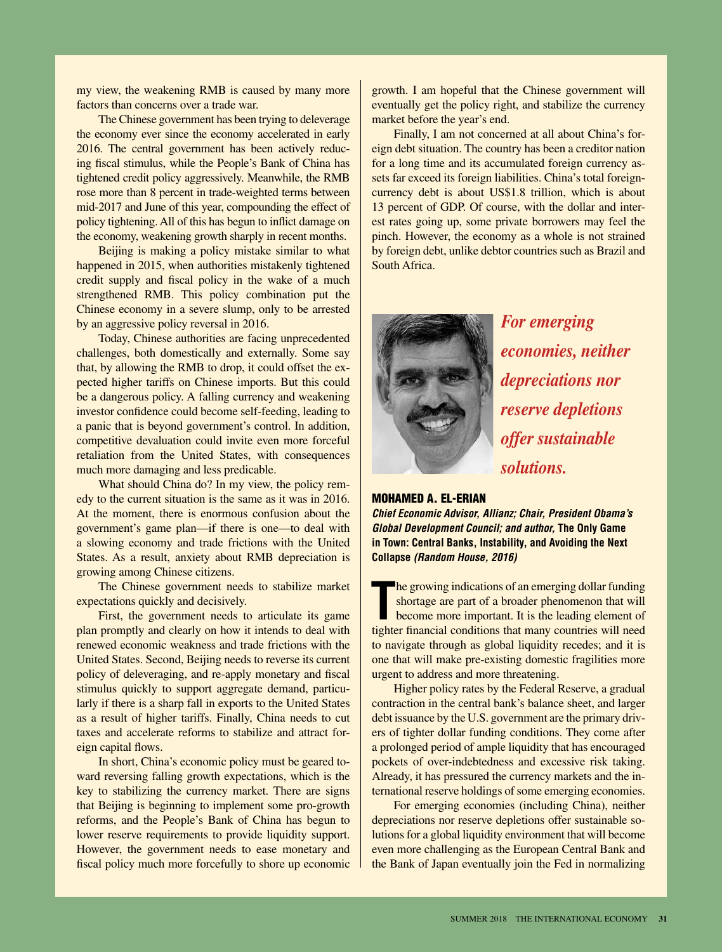my view, the weakening RMB is caused by many more factors than concerns over a trade war.

The Chinese government has been trying to deleverage the economy ever since the economy accelerated in early 2016. The central government has been actively reducing fiscal stimulus, while the People's Bank of China has tightened credit policy aggressively. Meanwhile, the RMB rose more than 8 percent in trade-weighted terms between mid-2017 and June of this year, compounding the effect of policy tightening. All of this has begun to inflict damage on the economy, weakening growth sharply in recent months.

Beijing is making a policy mistake similar to what happened in 2015, when authorities mistakenly tightened credit supply and fiscal policy in the wake of a much strengthened RMB. This policy combination put the Chinese economy in a severe slump, only to be arrested by an aggressive policy reversal in 2016.

Today, Chinese authorities are facing unprecedented challenges, both domestically and externally. Some say that, by allowing the RMB to drop, it could offset the expected higher tariffs on Chinese imports. But this could be a dangerous policy. A falling currency and weakening investor confidence could become self-feeding, leading to a panic that is beyond government's control. In addition, competitive devaluation could invite even more forceful retaliation from the United States, with consequences much more damaging and less predicable.

What should China do? In my view, the policy remedy to the current situation is the same as it was in 2016. At the moment, there is enormous confusion about the government's game plan—if there is one—to deal with a slowing economy and trade frictions with the United States. As a result, anxiety about RMB depreciation is growing among Chinese citizens.

The Chinese government needs to stabilize market expectations quickly and decisively.

First, the government needs to articulate its game plan promptly and clearly on how it intends to deal with renewed economic weakness and trade frictions with the United States. Second, Beijing needs to reverse its current policy of deleveraging, and re-apply monetary and fiscal stimulus quickly to support aggregate demand, particularly if there is a sharp fall in exports to the United States as a result of higher tariffs. Finally, China needs to cut taxes and accelerate reforms to stabilize and attract foreign capital flows.

In short, China's economic policy must be geared toward reversing falling growth expectations, which is the key to stabilizing the currency market. There are signs that Beijing is beginning to implement some pro-growth reforms, and the People's Bank of China has begun to lower reserve requirements to provide liquidity support. However, the government needs to ease monetary and fiscal policy much more forcefully to shore up economic

growth. I am hopeful that the Chinese government will eventually get the policy right, and stabilize the currency market before the year's end.

Finally, I am not concerned at all about China's foreign debt situation. The country has been a creditor nation for a long time and its accumulated foreign currency assets far exceed its foreign liabilities. China's total foreigncurrency debt is about US\$1.8 trillion, which is about 13 percent of GDP. Of course, with the dollar and interest rates going up, some private borrowers may feel the pinch. However, the economy as a whole is not strained by foreign debt, unlike debtor countries such as Brazil and South Africa.



*For emerging economies, neither depreciations nor reserve depletions offer sustainable solutions.*

#### Mohamed A. El-Erian

*Chief Economic Advisor, Allianz; Chair, President Obama's Global Development Council; and author,* **The Only Game in Town: Central Banks, Instability, and Avoiding the Next Collapse** *(Random House, 2016)*

**T** he growing indications of an emerging dollar funding shortage are part of a broader phenomenon that will become more important. It is the leading element of tighter financial conditions that many countries will need to navigate through as global liquidity recedes; and it is one that will make pre-existing domestic fragilities more urgent to address and more threatening.

Higher policy rates by the Federal Reserve, a gradual contraction in the central bank's balance sheet, and larger debt issuance by the U.S. government are the primary drivers of tighter dollar funding conditions. They come after a prolonged period of ample liquidity that has encouraged pockets of over-indebtedness and excessive risk taking. Already, it has pressured the currency markets and the international reserve holdings of some emerging economies.

For emerging economies (including China), neither depreciations nor reserve depletions offer sustainable solutions for a global liquidity environment that will become even more challenging as the European Central Bank and the Bank of Japan eventually join the Fed in normalizing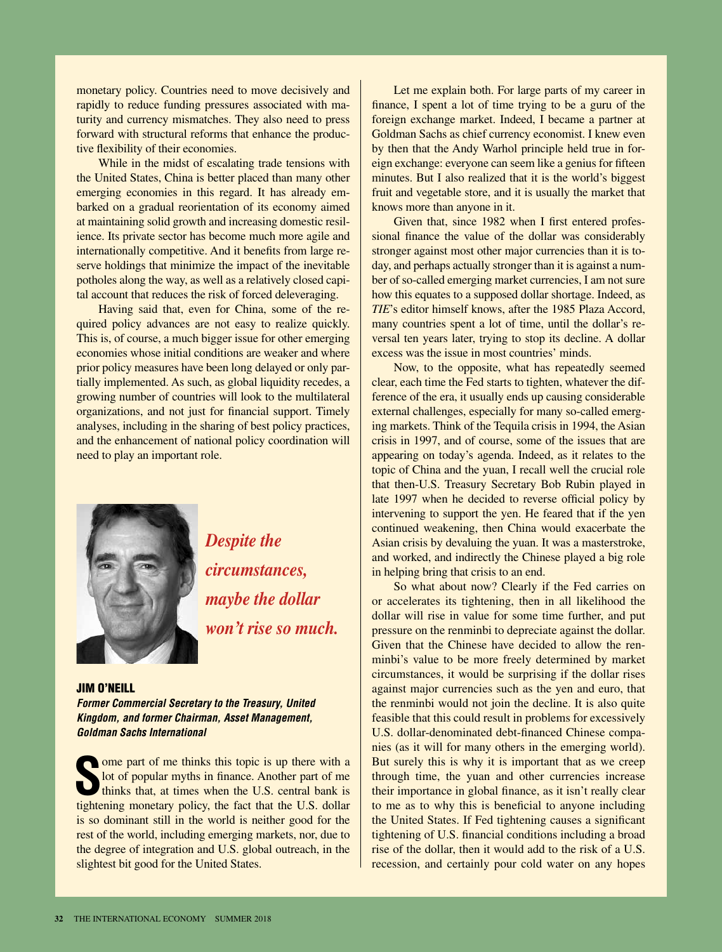monetary policy. Countries need to move decisively and rapidly to reduce funding pressures associated with maturity and currency mismatches. They also need to press forward with structural reforms that enhance the productive flexibility of their economies.

While in the midst of escalating trade tensions with the United States, China is better placed than many other emerging economies in this regard. It has already embarked on a gradual reorientation of its economy aimed at maintaining solid growth and increasing domestic resilience. Its private sector has become much more agile and internationally competitive. And it benefits from large reserve holdings that minimize the impact of the inevitable potholes along the way, as well as a relatively closed capital account that reduces the risk of forced deleveraging.

Having said that, even for China, some of the required policy advances are not easy to realize quickly. This is, of course, a much bigger issue for other emerging economies whose initial conditions are weaker and where prior policy measures have been long delayed or only partially implemented. As such, as global liquidity recedes, a growing number of countries will look to the multilateral organizations, and not just for financial support. Timely analyses, including in the sharing of best policy practices, and the enhancement of national policy coordination will need to play an important role.



*Despite the circumstances, maybe the dollar won't rise so much.*

#### Jim O'Neill

*Former Commercial Secretary to the Treasury, United Kingdom, and former Chairman, Asset Management, Goldman Sachs International*

Some part of me thinks this topic is up there with a lot of popular myths in finance. Another part of me thinks that, at times when the U.S. central bank is tightening monetary policy, the fact that the U.S. dollar ome part of me thinks this topic is up there with a lot of popular myths in finance. Another part of me thinks that, at times when the U.S. central bank is is so dominant still in the world is neither good for the rest of the world, including emerging markets, nor, due to the degree of integration and U.S. global outreach, in the slightest bit good for the United States.

Let me explain both. For large parts of my career in finance, I spent a lot of time trying to be a guru of the foreign exchange market. Indeed, I became a partner at Goldman Sachs as chief currency economist. I knew even by then that the Andy Warhol principle held true in foreign exchange: everyone can seem like a genius for fifteen minutes. But I also realized that it is the world's biggest fruit and vegetable store, and it is usually the market that knows more than anyone in it.

Given that, since 1982 when I first entered professional finance the value of the dollar was considerably stronger against most other major currencies than it is today, and perhaps actually stronger than it is against a number of so-called emerging market currencies, I am not sure how this equates to a supposed dollar shortage. Indeed, as *TIE*'s editor himself knows, after the 1985 Plaza Accord, many countries spent a lot of time, until the dollar's reversal ten years later, trying to stop its decline. A dollar excess was the issue in most countries' minds.

Now, to the opposite, what has repeatedly seemed clear, each time the Fed starts to tighten, whatever the difference of the era, it usually ends up causing considerable external challenges, especially for many so-called emerging markets. Think of the Tequila crisis in 1994, the Asian crisis in 1997, and of course, some of the issues that are appearing on today's agenda. Indeed, as it relates to the topic of China and the yuan, I recall well the crucial role that then-U.S. Treasury Secretary Bob Rubin played in late 1997 when he decided to reverse official policy by intervening to support the yen. He feared that if the yen continued weakening, then China would exacerbate the Asian crisis by devaluing the yuan. It was a masterstroke, and worked, and indirectly the Chinese played a big role in helping bring that crisis to an end.

So what about now? Clearly if the Fed carries on or accelerates its tightening, then in all likelihood the dollar will rise in value for some time further, and put pressure on the renminbi to depreciate against the dollar. Given that the Chinese have decided to allow the renminbi's value to be more freely determined by market circumstances, it would be surprising if the dollar rises against major currencies such as the yen and euro, that the renminbi would not join the decline. It is also quite feasible that this could result in problems for excessively U.S. dollar-denominated debt-financed Chinese companies (as it will for many others in the emerging world). But surely this is why it is important that as we creep through time, the yuan and other currencies increase their importance in global finance, as it isn't really clear to me as to why this is beneficial to anyone including the United States. If Fed tightening causes a significant tightening of U.S. financial conditions including a broad rise of the dollar, then it would add to the risk of a U.S. recession, and certainly pour cold water on any hopes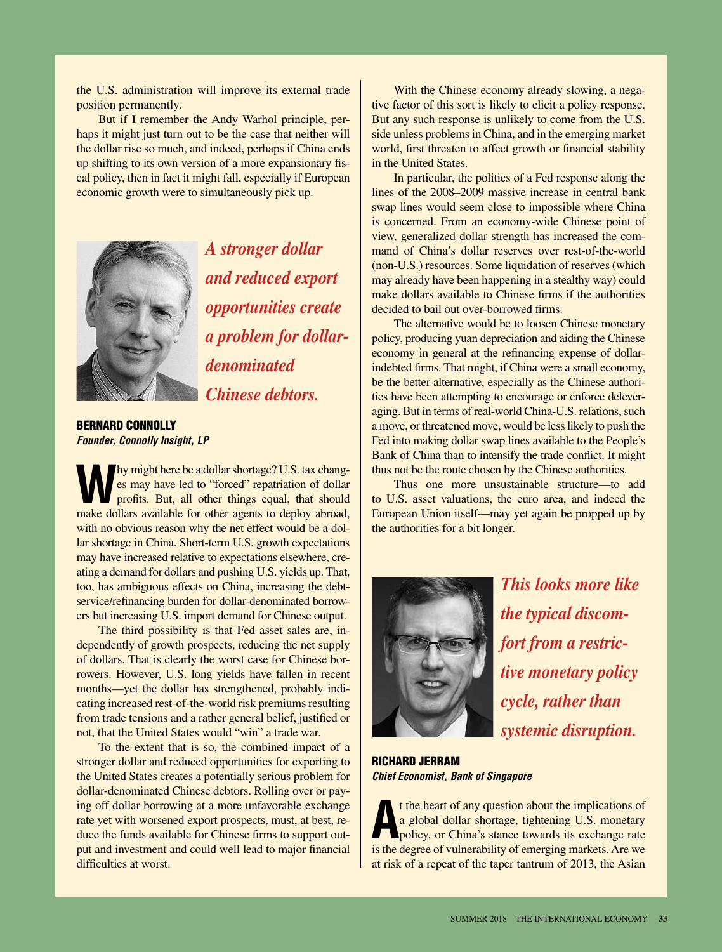the U.S. administration will improve its external trade position permanently.

But if I remember the Andy Warhol principle, perhaps it might just turn out to be the case that neither will the dollar rise so much, and indeed, perhaps if China ends up shifting to its own version of a more expansionary fiscal policy, then in fact it might fall, especially if European economic growth were to simultaneously pick up.



*A stronger dollar and reduced export opportunities create a problem for dollardenominated Chinese debtors.*

Bernard Connolly *Founder, Connolly Insight, LP*

**W**hy might here be a dollar shortage? U.S. tax changes may have led to "forced" repatriation of dollar profits. But, all other things equal, that should es may have led to "forced" repatriation of dollar profits. But, all other things equal, that should make dollars available for other agents to deploy abroad, with no obvious reason why the net effect would be a dollar shortage in China. Short-term U.S. growth expectations may have increased relative to expectations elsewhere, creating a demand for dollars and pushing U.S. yields up. That, too, has ambiguous effects on China, increasing the debtservice/refinancing burden for dollar-denominated borrowers but increasing U.S. import demand for Chinese output.

The third possibility is that Fed asset sales are, independently of growth prospects, reducing the net supply of dollars. That is clearly the worst case for Chinese borrowers. However, U.S. long yields have fallen in recent months—yet the dollar has strengthened, probably indicating increased rest-of-the-world risk premiums resulting from trade tensions and a rather general belief, justified or not, that the United States would "win" a trade war.

To the extent that is so, the combined impact of a stronger dollar and reduced opportunities for exporting to the United States creates a potentially serious problem for dollar-denominated Chinese debtors. Rolling over or paying off dollar borrowing at a more unfavorable exchange rate yet with worsened export prospects, must, at best, reduce the funds available for Chinese firms to support output and investment and could well lead to major financial difficulties at worst.

With the Chinese economy already slowing, a negative factor of this sort is likely to elicit a policy response. But any such response is unlikely to come from the U.S. side unless problems in China, and in the emerging market world, first threaten to affect growth or financial stability in the United States.

In particular, the politics of a Fed response along the lines of the 2008–2009 massive increase in central bank swap lines would seem close to impossible where China is concerned. From an economy-wide Chinese point of view, generalized dollar strength has increased the command of China's dollar reserves over rest-of-the-world (non-U.S.) resources. Some liquidation of reserves (which may already have been happening in a stealthy way) could make dollars available to Chinese firms if the authorities decided to bail out over-borrowed firms.

The alternative would be to loosen Chinese monetary policy, producing yuan depreciation and aiding the Chinese economy in general at the refinancing expense of dollarindebted firms. That might, if China were a small economy, be the better alternative, especially as the Chinese authorities have been attempting to encourage or enforce deleveraging. But in terms of real-world China-U.S. relations, such a move, or threatened move, would be less likely to push the Fed into making dollar swap lines available to the People's Bank of China than to intensify the trade conflict. It might thus not be the route chosen by the Chinese authorities.

Thus one more unsustainable structure—to add to U.S. asset valuations, the euro area, and indeed the European Union itself—may yet again be propped up by the authorities for a bit longer.



*This looks more like the typical discomfort from a restrictive monetary policy cycle, rather than systemic disruption.*

Richard Jerram *Chief Economist, Bank of Singapore*

If the heart of any question about the implications of a global dollar shortage, tightening U.S. monetary policy, or China's stance towards its exchange rate is the degree of vulnerability of emerging markets. Are we t the heart of any question about the implications of a global dollar shortage, tightening U.S. monetary policy, or China's stance towards its exchange rate at risk of a repeat of the taper tantrum of 2013, the Asian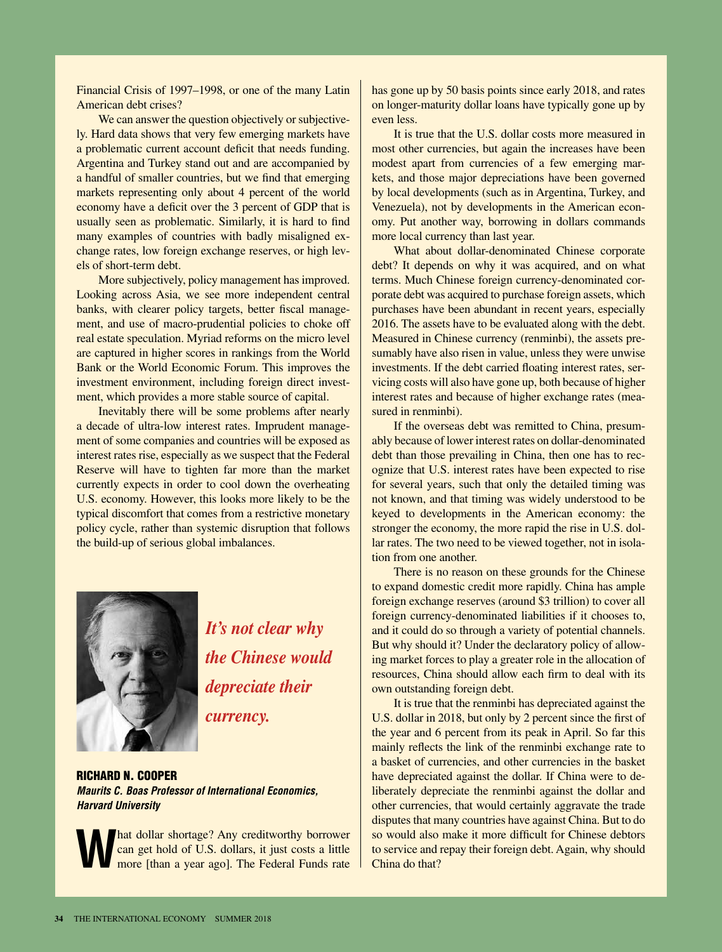Financial Crisis of 1997–1998, or one of the many Latin American debt crises?

We can answer the question objectively or subjectively. Hard data shows that very few emerging markets have a problematic current account deficit that needs funding. Argentina and Turkey stand out and are accompanied by a handful of smaller countries, but we find that emerging markets representing only about 4 percent of the world economy have a deficit over the 3 percent of GDP that is usually seen as problematic. Similarly, it is hard to find many examples of countries with badly misaligned exchange rates, low foreign exchange reserves, or high levels of short-term debt.

More subjectively, policy management has improved. Looking across Asia, we see more independent central banks, with clearer policy targets, better fiscal management, and use of macro-prudential policies to choke off real estate speculation. Myriad reforms on the micro level are captured in higher scores in rankings from the World Bank or the World Economic Forum. This improves the investment environment, including foreign direct investment, which provides a more stable source of capital.

Inevitably there will be some problems after nearly a decade of ultra-low interest rates. Imprudent management of some companies and countries will be exposed as interest rates rise, especially as we suspect that the Federal Reserve will have to tighten far more than the market currently expects in order to cool down the overheating U.S. economy. However, this looks more likely to be the typical discomfort that comes from a restrictive monetary policy cycle, rather than systemic disruption that follows the build-up of serious global imbalances.



*It's not clear why the Chinese would depreciate their currency.*

Richard N. Cooper *Maurits C. Boas Professor of International Economics, Harvard University*

**What dollar shortage?** Any creditworthy borrower can get hold of U.S. dollars, it just costs a little more [than a year ago]. The Federal Funds rate can get hold of U.S. dollars, it just costs a little

has gone up by 50 basis points since early 2018, and rates on longer-maturity dollar loans have typically gone up by even less.

It is true that the U.S. dollar costs more measured in most other currencies, but again the increases have been modest apart from currencies of a few emerging markets, and those major depreciations have been governed by local developments (such as in Argentina, Turkey, and Venezuela), not by developments in the American economy. Put another way, borrowing in dollars commands more local currency than last year.

What about dollar-denominated Chinese corporate debt? It depends on why it was acquired, and on what terms. Much Chinese foreign currency-denominated corporate debt was acquired to purchase foreign assets, which purchases have been abundant in recent years, especially 2016. The assets have to be evaluated along with the debt. Measured in Chinese currency (renminbi), the assets presumably have also risen in value, unless they were unwise investments. If the debt carried floating interest rates, servicing costs will also have gone up, both because of higher interest rates and because of higher exchange rates (measured in renminbi).

If the overseas debt was remitted to China, presumably because of lower interest rates on dollar-denominated debt than those prevailing in China, then one has to recognize that U.S. interest rates have been expected to rise for several years, such that only the detailed timing was not known, and that timing was widely understood to be keyed to developments in the American economy: the stronger the economy, the more rapid the rise in U.S. dollar rates. The two need to be viewed together, not in isolation from one another.

There is no reason on these grounds for the Chinese to expand domestic credit more rapidly. China has ample foreign exchange reserves (around \$3 trillion) to cover all foreign currency-denominated liabilities if it chooses to, and it could do so through a variety of potential channels. But why should it? Under the declaratory policy of allowing market forces to play a greater role in the allocation of resources, China should allow each firm to deal with its own outstanding foreign debt.

It is true that the renminbi has depreciated against the U.S. dollar in 2018, but only by 2 percent since the first of the year and 6 percent from its peak in April. So far this mainly reflects the link of the renminbi exchange rate to a basket of currencies, and other currencies in the basket have depreciated against the dollar. If China were to deliberately depreciate the renminbi against the dollar and other currencies, that would certainly aggravate the trade disputes that many countries have against China. But to do so would also make it more difficult for Chinese debtors to service and repay their foreign debt. Again, why should China do that?